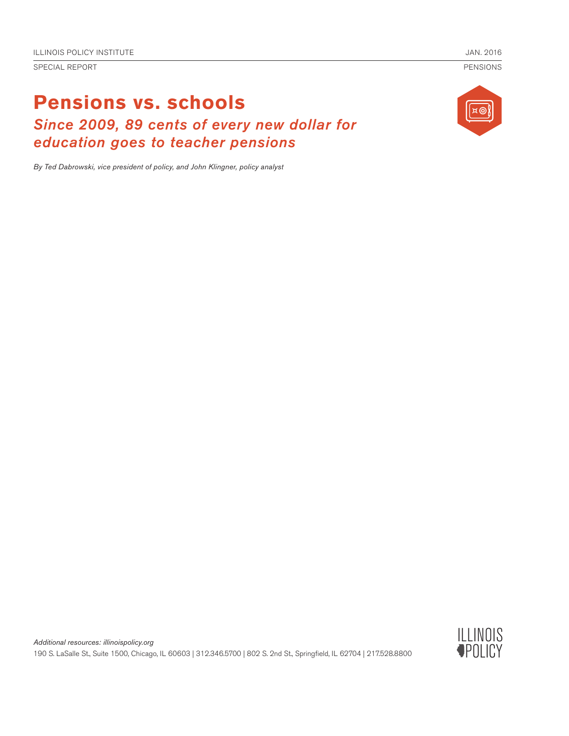SPECIAL REPORT PENSIONS

# **Pensions vs. schools** *Since 2009, 89 cents of every new dollar for education goes to teacher pensions*



*By Ted Dabrowski, vice president of policy, and John Klingner, policy analyst*

*Additional resources: illinoispolicy.org* 190 S. LaSalle St., Suite 1500, Chicago, IL 60603 | 312.346.5700 | 802 S. 2nd St., Springfield, IL 62704 | 217.528.8800

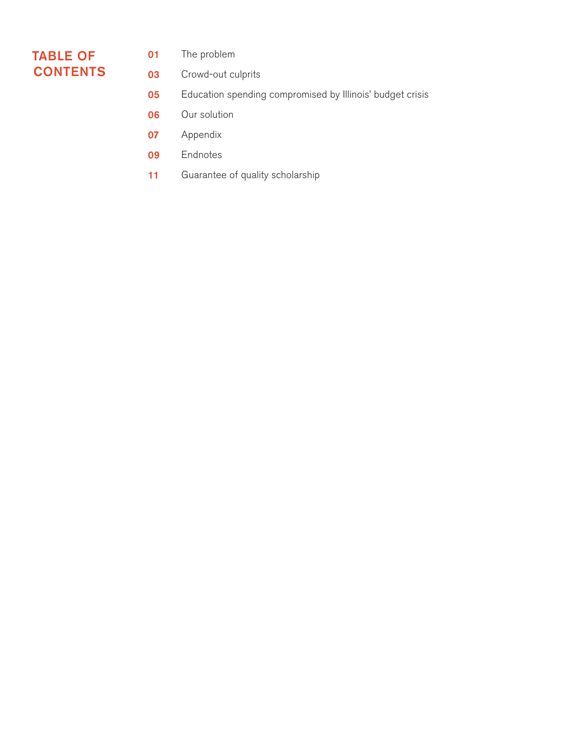# TABLE OF **CONTENTS**

- The problem 01
- Crowd-out culprits 03
- Education spending compromised by Illinois' budget crisis 05
- Our solution 06
- Appendix 07
- Endnotes 09
- Guarantee of quality scholarship 11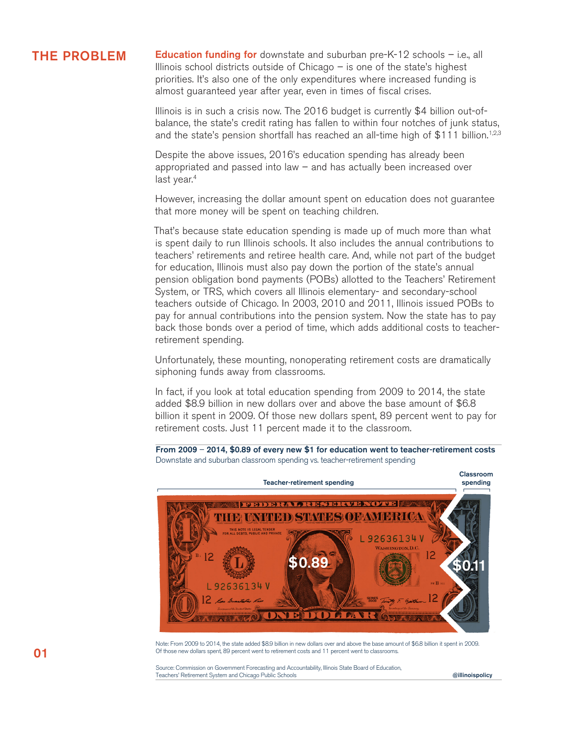**THE PROBLEM** Education funding for downstate and suburban pre-K-12 schools – i.e., all Illinois school districts outside of Chicago – is one of the state's highest priorities. It's also one of the only expenditures where increased funding is almost guaranteed year after year, even in times of fiscal crises.

> Illinois is in such a crisis now. The 2016 budget is currently \$4 billion out-ofbalance, the state's credit rating has fallen to within four notches of junk status, and the state's pension shortfall has reached an all-time high of \$111 billion.<sup>1,2,3</sup>

Despite the above issues, 2016's education spending has already been appropriated and passed into law – and has actually been increased over last year.<sup>4</sup>

However, increasing the dollar amount spent on education does not guarantee that more money will be spent on teaching children.

That's because state education spending is made up of much more than what is spent daily to run Illinois schools. It also includes the annual contributions to teachers' retirements and retiree health care. And, while not part of the budget for education, Illinois must also pay down the portion of the state's annual pension obligation bond payments (POBs) allotted to the Teachers' Retirement System, or TRS, which covers all Illinois elementary- and secondary-school teachers outside of Chicago. In 2003, 2010 and 2011, Illinois issued POBs to pay for annual contributions into the pension system. Now the state has to pay back those bonds over a period of time, which adds additional costs to teacherretirement spending.

Unfortunately, these mounting, nonoperating retirement costs are dramatically siphoning funds away from classrooms.

In fact, if you look at total education spending from 2009 to 2014, the state added \$8.9 billion in new dollars over and above the base amount of \$6.8 billion it spent in 2009. Of those new dollars spent, 89 percent went to pay for retirement costs. Just 11 percent made it to the classroom.

From 2009 – 2014, \$0.89 of every new \$1 for education went to teacher-retirement costs Downstate and suburban classroom spending vs. teacher-retirement spending



Note: From 2009 to 2014, the state added \$8.9 billion in new dollars over and above the base amount of \$6.8 billion it spent in 2009. Of those new dollars spent, 89 percent went to retirement costs and 11 percent went to classrooms.

Source: Commission on Government Forecasting and Accountability, Illinois State Board of Education, Teachers' Retirement System and Chicago Public Schools **Chicago Public Schools** and Chicago Public Schools **and Chicago Public Schools** and Chicago Public Schools and Chicago Public Schools **and Chicago Public Schools** and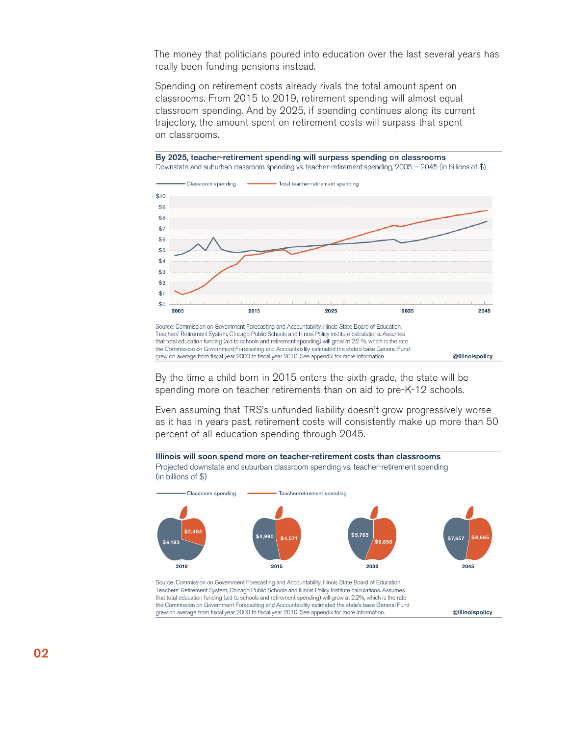The money that politicians poured into education over the last several years has really been funding pensions instead.

Spending on retirement costs already rivals the total amount spent on classrooms. From 2015 to 2019, retirement spending will almost equal classroom spending. And by 2025, if spending continues along its current trajectory, the amount spent on retirement costs will surpass that spent on classrooms.



By the time a child born in 2015 enters the sixth grade, the state will be spending more on teacher retirements than on aid to pre-K-12 schools.

Even assuming that TRS's unfunded liability doesn't grow progressively worse as it has in years past, retirement costs will consistently make up more than 50 percent of all education spending through 2045.



@illinoispolicy

the Commission on Government Forecasting and Accountability estimated the state's base General Fund grew on average from fiscal year 2000 to fiscal year 2010. See appendix for more information.

Ï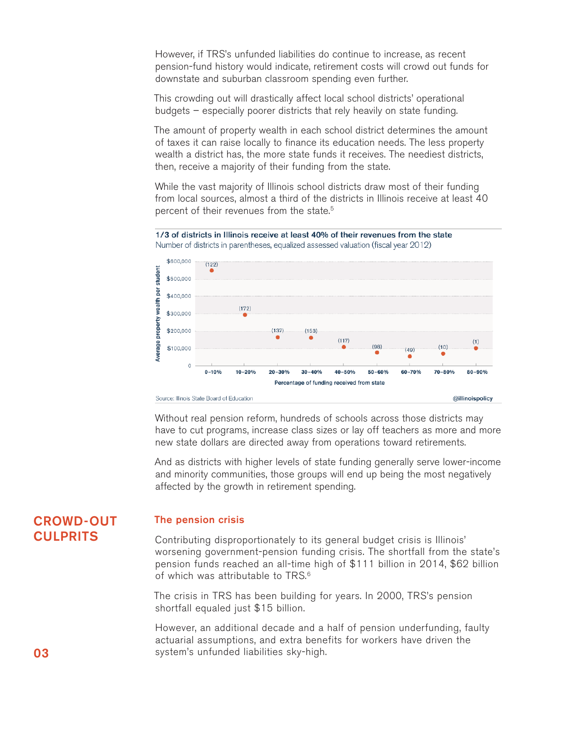However, if TRS's unfunded liabilities do continue to increase, as recent pension-fund history would indicate, retirement costs will crowd out funds for downstate and suburban classroom spending even further.

This crowding out will drastically affect local school districts' operational budgets – especially poorer districts that rely heavily on state funding.

The amount of property wealth in each school district determines the amount of taxes it can raise locally to finance its education needs. The less property wealth a district has, the more state funds it receives. The neediest districts, then, receive a majority of their funding from the state.

While the vast majority of Illinois school districts draw most of their funding from local sources, almost a third of the districts in Illinois receive at least 40 percent of their revenues from the state.<sup>5</sup>



1/3 of districts in Illinois receive at least 40% of their revenues from the state Number of districts in parentheses, equalized assessed valuation (fiscal year 2012)

Without real pension reform, hundreds of schools across those districts may have to cut programs, increase class sizes or lay off teachers as more and more new state dollars are directed away from operations toward retirements.

And as districts with higher levels of state funding generally serve lower-income and minority communities, those groups will end up being the most negatively affected by the growth in retirement spending.

# CROWD-OUT **CULPRITS**

# The pension crisis

Contributing disproportionately to its general budget crisis is Illinois' worsening government-pension funding crisis. The shortfall from the state's pension funds reached an all-time high of \$111 billion in 2014, \$62 billion of which was attributable to TRS.<sup>6</sup>

The crisis in TRS has been building for years. In 2000, TRS's pension shortfall equaled just \$15 billion.

However, an additional decade and a half of pension underfunding, faulty actuarial assumptions, and extra benefits for workers have driven the **03** system's unfunded liabilities sky-high.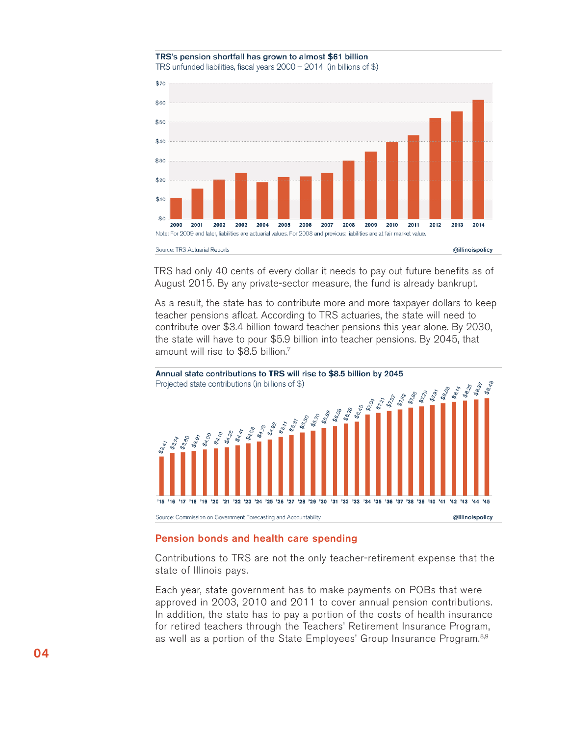#### TRS's pension shortfall has grown to almost \$61 billion TRS unfunded liabilities, fiscal years  $2000 - 2014$  (in billions of \$)



TRS had only 40 cents of every dollar it needs to pay out future benefits as of August 2015. By any private-sector measure, the fund is already bankrupt.

As a result, the state has to contribute more and more taxpayer dollars to keep teacher pensions afloat. According to TRS actuaries, the state will need to contribute over \$3.4 billion toward teacher pensions this year alone. By 2030, the state will have to pour \$5.9 billion into teacher pensions. By 2045, that amount will rise to \$8.5 billion.7



## Pension bonds and health care spending

Contributions to TRS are not the only teacher-retirement expense that the state of Illinois pays.

Each year, state government has to make payments on POBs that were approved in 2003, 2010 and 2011 to cover annual pension contributions. In addition, the state has to pay a portion of the costs of health insurance for retired teachers through the Teachers' Retirement Insurance Program, as well as a portion of the State Employees' Group Insurance Program.<sup>8,9</sup>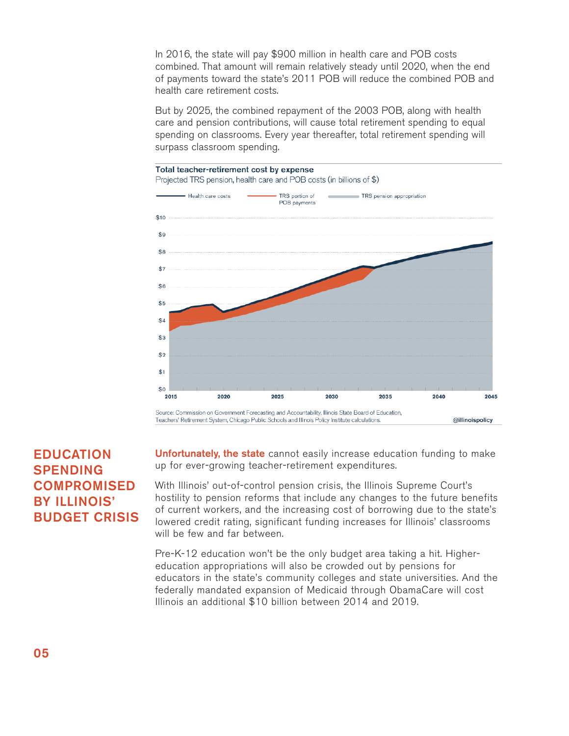In 2016, the state will pay \$900 million in health care and POB costs combined. That amount will remain relatively steady until 2020, when the end of payments toward the state's 2011 POB will reduce the combined POB and health care retirement costs.

But by 2025, the combined repayment of the 2003 POB, along with health care and pension contributions, will cause total retirement spending to equal spending on classrooms. Every year thereafter, total retirement spending will surpass classroom spending.



# EDUCATION SPENDING **COMPROMISED** BY ILLINOIS' BUDGET CRISIS

Unfortunately, the state cannot easily increase education funding to make up for ever-growing teacher-retirement expenditures.

With Illinois' out-of-control pension crisis, the Illinois Supreme Court's hostility to pension reforms that include any changes to the future benefits of current workers, and the increasing cost of borrowing due to the state's lowered credit rating, significant funding increases for Illinois' classrooms will be few and far between.

Pre-K-12 education won't be the only budget area taking a hit. Highereducation appropriations will also be crowded out by pensions for educators in the state's community colleges and state universities. And the federally mandated expansion of Medicaid through ObamaCare will cost Illinois an additional \$10 billion between 2014 and 2019.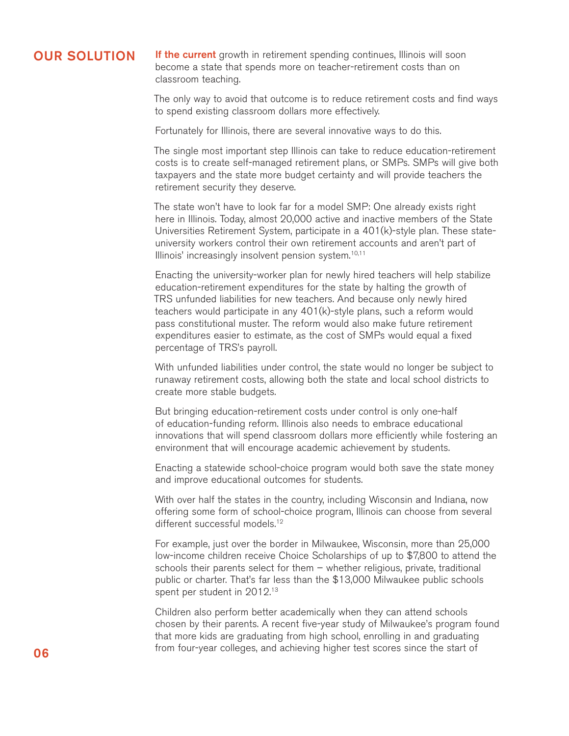# OUR SOLUTION

If the current growth in retirement spending continues, Illinois will soon become a state that spends more on teacher-retirement costs than on classroom teaching.

The only way to avoid that outcome is to reduce retirement costs and find ways to spend existing classroom dollars more effectively.

Fortunately for Illinois, there are several innovative ways to do this.

The single most important step Illinois can take to reduce education-retirement costs is to create self-managed retirement plans, or SMPs. SMPs will give both taxpayers and the state more budget certainty and will provide teachers the retirement security they deserve.

The state won't have to look far for a model SMP: One already exists right here in Illinois. Today, almost 20,000 active and inactive members of the State Universities Retirement System, participate in a 401(k)-style plan. These stateuniversity workers control their own retirement accounts and aren't part of Illinois' increasingly insolvent pension system.<sup>10,11</sup>

Enacting the university-worker plan for newly hired teachers will help stabilize education-retirement expenditures for the state by halting the growth of TRS unfunded liabilities for new teachers. And because only newly hired teachers would participate in any 401(k)-style plans, such a reform would pass constitutional muster. The reform would also make future retirement expenditures easier to estimate, as the cost of SMPs would equal a fixed percentage of TRS's payroll.

With unfunded liabilities under control, the state would no longer be subject to runaway retirement costs, allowing both the state and local school districts to create more stable budgets.

But bringing education-retirement costs under control is only one-half of education-funding reform. Illinois also needs to embrace educational innovations that will spend classroom dollars more efficiently while fostering an environment that will encourage academic achievement by students.

Enacting a statewide school-choice program would both save the state money and improve educational outcomes for students.

With over half the states in the country, including Wisconsin and Indiana, now offering some form of school-choice program, Illinois can choose from several different successful models.<sup>12</sup>

For example, just over the border in Milwaukee, Wisconsin, more than 25,000 low-income children receive Choice Scholarships of up to \$7,800 to attend the schools their parents select for them – whether religious, private, traditional public or charter. That's far less than the \$13,000 Milwaukee public schools spent per student in 2012.<sup>13</sup>

Children also perform better academically when they can attend schools chosen by their parents. A recent five-year study of Milwaukee's program found that more kids are graduating from high school, enrolling in and graduating **06 from four-year colleges, and achieving higher test scores since the start of**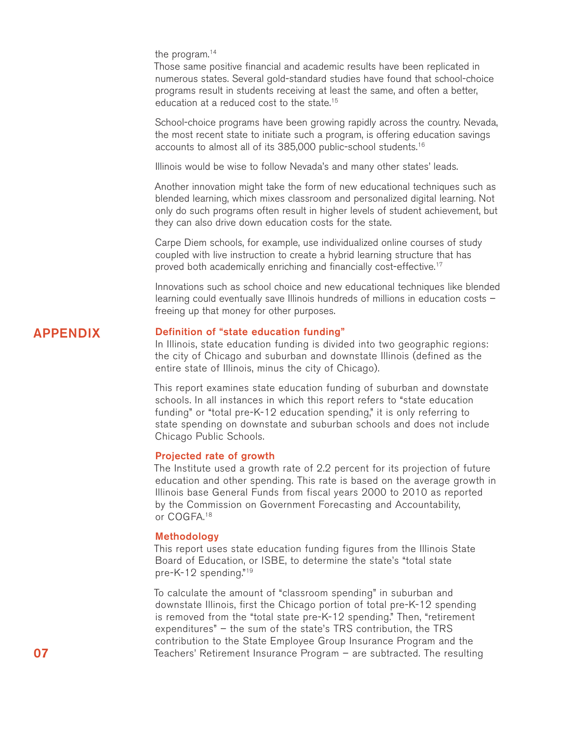the program.<sup>14</sup>

Those same positive financial and academic results have been replicated in numerous states. Several gold-standard studies have found that school-choice programs result in students receiving at least the same, and often a better, education at a reduced cost to the state.<sup>15</sup>

School-choice programs have been growing rapidly across the country. Nevada, the most recent state to initiate such a program, is offering education savings accounts to almost all of its 385,000 public-school students.<sup>16</sup>

Illinois would be wise to follow Nevada's and many other states' leads.

Another innovation might take the form of new educational techniques such as blended learning, which mixes classroom and personalized digital learning. Not only do such programs often result in higher levels of student achievement, but they can also drive down education costs for the state.

Carpe Diem schools, for example, use individualized online courses of study coupled with live instruction to create a hybrid learning structure that has proved both academically enriching and financially cost-effective.<sup>17</sup>

Innovations such as school choice and new educational techniques like blended learning could eventually save Illinois hundreds of millions in education costs – freeing up that money for other purposes.

# APPENDIX

# Definition of "state education funding"

In Illinois, state education funding is divided into two geographic regions: the city of Chicago and suburban and downstate Illinois (defined as the entire state of Illinois, minus the city of Chicago).

This report examines state education funding of suburban and downstate schools. In all instances in which this report refers to "state education funding" or "total pre-K-12 education spending," it is only referring to state spending on downstate and suburban schools and does not include Chicago Public Schools.

### Projected rate of growth

The Institute used a growth rate of 2.2 percent for its projection of future education and other spending. This rate is based on the average growth in Illinois base General Funds from fiscal years 2000 to 2010 as reported by the Commission on Government Forecasting and Accountability, or COGFA.18

## Methodology

This report uses state education funding figures from the Illinois State Board of Education, or ISBE, to determine the state's "total state pre-K-12 spending."19

To calculate the amount of "classroom spending" in suburban and downstate Illinois, first the Chicago portion of total pre-K-12 spending is removed from the "total state pre-K-12 spending." Then, "retirement expenditures" – the sum of the state's TRS contribution, the TRS contribution to the State Employee Group Insurance Program and the Teachers' Retirement Insurance Program – are subtracted. The resulting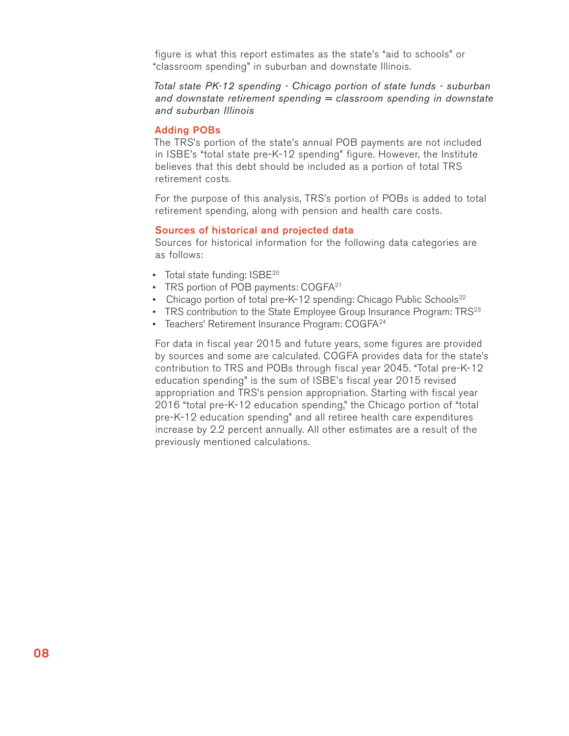figure is what this report estimates as the state's "aid to schools" or "classroom spending" in suburban and downstate Illinois.

# *Total state PK-12 spending - Chicago portion of state funds - suburban and downstate retirement spending = classroom spending in downstate and suburban Illinois*

### Adding POBs

The TRS's portion of the state's annual POB payments are not included in ISBE's "total state pre-K-12 spending" figure. However, the Institute believes that this debt should be included as a portion of total TRS retirement costs.

For the purpose of this analysis, TRS's portion of POBs is added to total retirement spending, along with pension and health care costs.

## Sources of historical and projected data

Sources for historical information for the following data categories are as follows:

- Total state funding: ISBE<sup>20</sup>
- TRS portion of POB payments: COGFA<sup>21</sup>
- Chicago portion of total pre-K-12 spending: Chicago Public Schools<sup>22</sup>
- TRS contribution to the State Employee Group Insurance Program:  $TRS^{23}$
- Teachers' Retirement Insurance Program: COGFA<sup>24</sup>

For data in fiscal year 2015 and future years, some figures are provided by sources and some are calculated. COGFA provides data for the state's contribution to TRS and POBs through fiscal year 2045. "Total pre-K-12 education spending" is the sum of ISBE's fiscal year 2015 revised appropriation and TRS's pension appropriation. Starting with fiscal year 2016 "total pre-K-12 education spending," the Chicago portion of "total pre-K-12 education spending" and all retiree health care expenditures increase by 2.2 percent annually. All other estimates are a result of the previously mentioned calculations.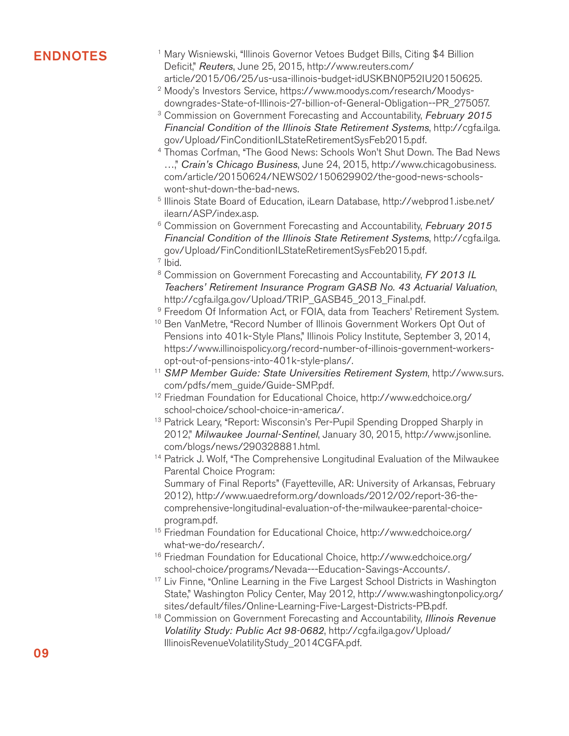- **ENDNOTES** Mary Wisniewski, "Illinois Governor Vetoes Budget Bills, Citing \$4 Billion Deficit," *Reuters*, June 25, 2015, http://www.reuters.com/ article/2015/06/25/us-usa-illinois-budget-idUSKBN0P52IU20150625.
	- Moody's Investors Service, https://www.moodys.com/research/Moodys-2 downgrades-State-of-Illinois-27-billion-of-General-Obligation--PR\_275057.
	- Commission on Government Forecasting and Accountability, *February 2015*  3 *Financial Condition of the Illinois State Retirement Systems*, http://cgfa.ilga. gov/Upload/FinConditionILStateRetirementSysFeb2015.pdf.
	- <sup>4</sup> Thomas Corfman, "The Good News: Schools Won't Shut Down. The Bad News …," *Crain's Chicago Business*, June 24, 2015, http://www.chicagobusiness. com/article/20150624/NEWS02/150629902/the-good-news-schoolswont-shut-down-the-bad-news.
	- <sup>5</sup> Illinois State Board of Education, iLearn Database, http://webprod1.isbe.net/ ilearn/ASP/index.asp.
	- Commission on Government Forecasting and Accountability, *February 2015*  6 *Financial Condition of the Illinois State Retirement Systems*, http://cgfa.ilga. gov/Upload/FinConditionILStateRetirementSysFeb2015.pdf.
	- $<sup>7</sup>$  Ibid.</sup>
	- Commission on Government Forecasting and Accountability, *FY 2013 IL*  8 *Teachers' Retirement Insurance Program GASB No. 43 Actuarial Valuation*, http://cgfa.ilga.gov/Upload/TRIP\_GASB45\_2013\_Final.pdf.
	- <sup>9</sup> Freedom Of Information Act, or FOIA, data from Teachers' Retirement System.
	- <sup>10</sup> Ben VanMetre, "Record Number of Illinois Government Workers Opt Out of Pensions into 401k-Style Plans," Illinois Policy Institute, September 3, 2014, https://www.illinoispolicy.org/record-number-of-illinois-government-workersopt-out-of-pensions-into-401k-style-plans/.
	- <sup>11</sup> SMP Member Guide: State Universities Retirement System, http://www.surs. com/pdfs/mem\_guide/Guide-SMP.pdf.
	- <sup>12</sup> Friedman Foundation for Educational Choice, http://www.edchoice.org/ school-choice/school-choice-in-america/.
	- <sup>13</sup> Patrick Leary, "Report: Wisconsin's Per-Pupil Spending Dropped Sharply in 2012," *Milwaukee Journal-Sentinel*, January 30, 2015, http://www.jsonline. com/blogs/news/290328881.html.
	- <sup>14</sup> Patrick J. Wolf, "The Comprehensive Longitudinal Evaluation of the Milwaukee Parental Choice Program: Summary of Final Reports" (Fayetteville, AR: University of Arkansas, February 2012), http://www.uaedreform.org/downloads/2012/02/report-36-thecomprehensive-longitudinal-evaluation-of-the-milwaukee-parental-choice-
	- program.pdf. <sup>15</sup> Friedman Foundation for Educational Choice, http://www.edchoice.org/ what-we-do/research/.
	- <sup>16</sup> Friedman Foundation for Educational Choice, http://www.edchoice.org/ school-choice/programs/Nevada---Education-Savings-Accounts/.
	- <sup>17</sup> Liv Finne, "Online Learning in the Five Largest School Districts in Washington State," Washington Policy Center, May 2012, http://www.washingtonpolicy.org/ sites/default/files/Online-Learning-Five-Largest-Districts-PB.pdf.
	- <sup>18</sup> Commission on Government Forecasting and Accountability, Illinois Revenue *Volatility Study: Public Act 98-0682*, http://cgfa.ilga.gov/Upload/ IllinoisRevenueVolatilityStudy\_2014CGFA.pdf.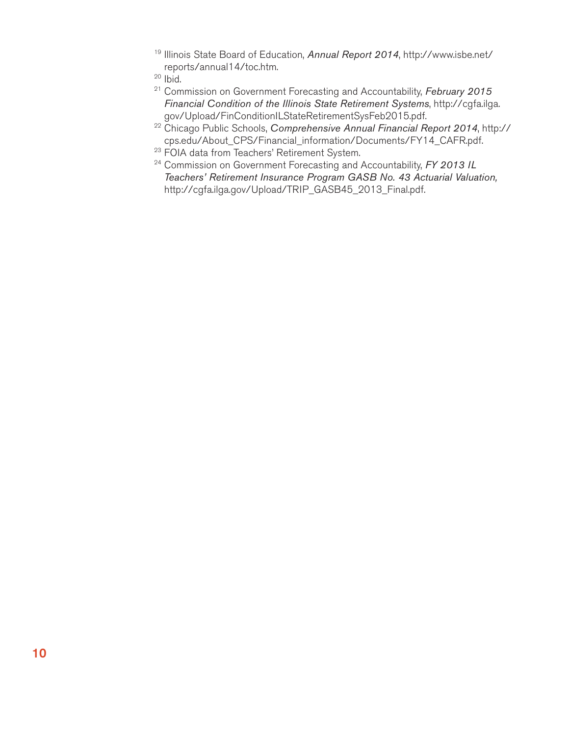- <sup>19</sup> Illinois State Board of Education, Annual Report 2014, http://www.isbe.net/ reports/annual14/toc.htm.
- $20$  lbid.
- <sup>21</sup> Commission on Government Forecasting and Accountability, February 2015 *Financial Condition of the Illinois State Retirement Systems*, http://cgfa.ilga. gov/Upload/FinConditionILStateRetirementSysFeb2015.pdf.
- <sup>22</sup> Chicago Public Schools, Comprehensive Annual Financial Report 2014, http:// cps.edu/About\_CPS/Financial\_information/Documents/FY14\_CAFR.pdf.
- <sup>23</sup> FOIA data from Teachers' Retirement System.
- <sup>24</sup> Commission on Government Forecasting and Accountability, FY 2013 IL *Teachers' Retirement Insurance Program GASB No. 43 Actuarial Valuation,* http://cgfa.ilga.gov/Upload/TRIP\_GASB45\_2013\_Final.pdf.